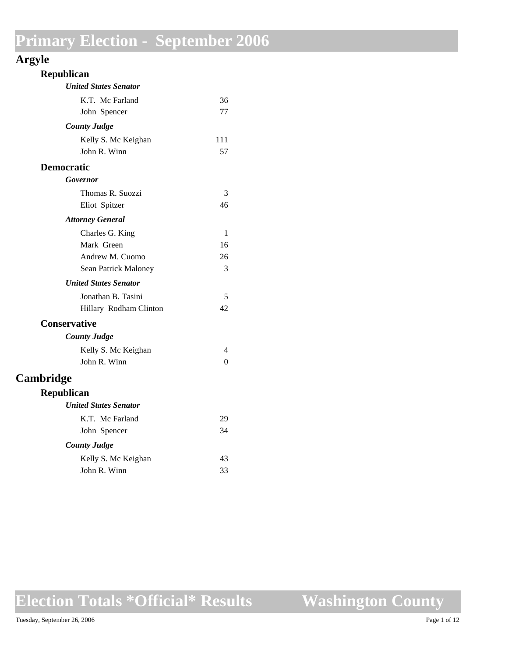### **Argyle**

| Republican                   |          |
|------------------------------|----------|
| <b>United States Senator</b> |          |
| K.T. Mc Farland              | 36       |
| John Spencer                 | 77       |
| <b>County Judge</b>          |          |
| Kelly S. Mc Keighan          | 111      |
| John R. Winn                 | 57       |
| <b>Democratic</b>            |          |
| Governor                     |          |
| Thomas R. Suozzi             | 3        |
| Eliot Spitzer                | 46       |
| <b>Attorney General</b>      |          |
| Charles G. King              | 1        |
| Mark Green                   | 16       |
| Andrew M. Cuomo              | 26       |
| Sean Patrick Maloney         | 3        |
| <b>United States Senator</b> |          |
| Jonathan B. Tasini           | 5        |
| Hillary Rodham Clinton       | 42       |
| <b>Conservative</b>          |          |
| <b>County Judge</b>          |          |
| Kelly S. Mc Keighan          | 4        |
| John R. Winn                 | $\theta$ |
| Cambridge                    |          |
| Republican                   |          |
| <b>United States Senator</b> |          |
| K.T. Mc Farland              | 29       |
| John Spencer                 | 34       |
| <b>County Judge</b>          |          |
| Kelly S. Mc Keighan          | 43       |
| John R. Winn                 | 33       |
|                              |          |

**Election Totals \*Official\* Results**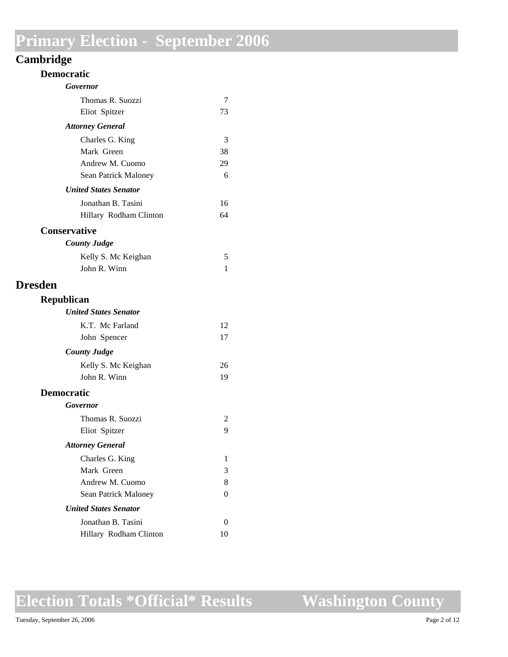### **Cambridge**

| <b>Democratic</b>            |    |
|------------------------------|----|
| Governor                     |    |
| Thomas R. Suozzi             | 7  |
| Eliot Spitzer                | 73 |
| <b>Attorney General</b>      |    |
| Charles G. King              | 3  |
| Mark Green                   | 38 |
| Andrew M. Cuomo              | 29 |
| Sean Patrick Maloney         | 6  |
| <b>United States Senator</b> |    |
| Jonathan B. Tasini           | 16 |
| Hillary Rodham Clinton       | 64 |
| <b>Conservative</b>          |    |
| <b>County Judge</b>          |    |
| Kelly S. Mc Keighan          | 5  |
| John R. Winn                 | 1  |
| <b>Dresden</b>               |    |
| <b>Republican</b>            |    |
| <b>United States Senator</b> |    |
| K.T. Mc Farland              | 12 |
| John Spencer                 | 17 |
| <b>County Judge</b>          |    |
| Kelly S. Mc Keighan          | 26 |
| John R. Winn                 | 19 |
| <b>Democratic</b>            |    |
| Governor                     |    |
| Thomas R. Suozzi             | 2  |
| Eliot Spitzer                | 9  |
| <b>Attorney General</b>      |    |
| Charles G. King              | 1  |
| Mark Green                   | 3  |
| Andrew M. Cuomo              | 8  |
| Sean Patrick Maloney         | 0  |
| <b>United States Senator</b> |    |
| Jonathan B. Tasini           | 0  |
| Hillary Rodham Clinton       | 10 |

## **Election Totals \*Official\* Results**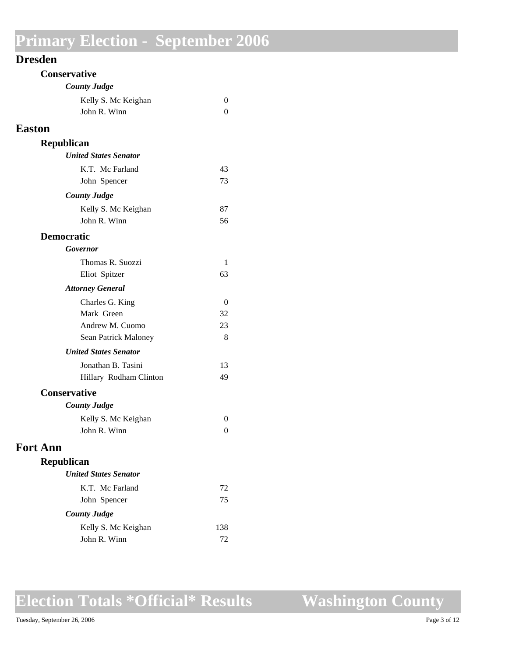#### **Dresden**

| Conservative                 |          |
|------------------------------|----------|
| <b>County Judge</b>          |          |
| Kelly S. Mc Keighan          | 0        |
| John R. Winn                 | 0        |
| <b>Easton</b>                |          |
| Republican                   |          |
| <b>United States Senator</b> |          |
| K.T. Mc Farland              | 43       |
| John Spencer                 | 73       |
| <b>County Judge</b>          |          |
| Kelly S. Mc Keighan          | 87       |
| John R. Winn                 | 56       |
| <b>Democratic</b>            |          |
| Governor                     |          |
| Thomas R. Suozzi             | 1        |
| Eliot Spitzer                | 63       |
| <b>Attorney General</b>      |          |
| Charles G. King              | $\theta$ |
| Mark Green                   | 32       |
| Andrew M. Cuomo              | 23       |
| Sean Patrick Maloney         | 8        |
| <b>United States Senator</b> |          |
| Jonathan B. Tasini           | 13       |
| Hillary Rodham Clinton       | 49       |
| <b>Conservative</b>          |          |
| <b>County Judge</b>          |          |
| Kelly S. Mc Keighan          | 0        |
| John R. Winn                 | 0        |
| <b>Fort Ann</b>              |          |
| Republican                   |          |
| <b>United States Senator</b> |          |
| K.T. Mc Farland              | 72       |
| John Spencer                 | 75       |
| <b>County Judge</b>          |          |
| Kelly S. Mc Keighan          | 138      |
| John R. Winn                 | 72       |

## **Election Totals \*Official\* Results**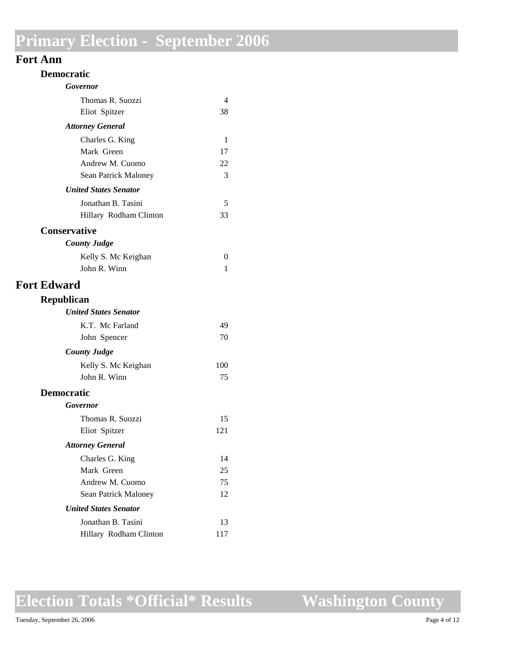#### **Fort Ann**

| <b>Democratic</b>                            |               |  |  |
|----------------------------------------------|---------------|--|--|
| Governor                                     |               |  |  |
| Thomas R. Suozzi                             | 4             |  |  |
| Eliot Spitzer                                | 38            |  |  |
| <b>Attorney General</b>                      |               |  |  |
| Charles G. King                              | 1             |  |  |
| Mark Green                                   | 17            |  |  |
| Andrew M. Cuomo                              | 22            |  |  |
| Sean Patrick Maloney                         | 3             |  |  |
| <b>United States Senator</b>                 |               |  |  |
| Jonathan B. Tasini                           | 5<br>33       |  |  |
| Hillary Rodham Clinton                       |               |  |  |
| <b>Conservative</b>                          |               |  |  |
| <b>County Judge</b>                          |               |  |  |
| Kelly S. Mc Keighan<br>John R. Winn          | $\theta$<br>1 |  |  |
|                                              |               |  |  |
| <b>Fort Edward</b>                           |               |  |  |
| Republican                                   |               |  |  |
| <b>United States Senator</b>                 |               |  |  |
| K.T. Mc Farland                              | 49            |  |  |
| John Spencer                                 | 70            |  |  |
| <b>County Judge</b>                          |               |  |  |
| Kelly S. Mc Keighan                          | 100           |  |  |
| John R. Winn                                 | 75            |  |  |
| <b>Democratic</b>                            |               |  |  |
| Governor                                     |               |  |  |
| Thomas R. Suozzi                             | 15            |  |  |
| Eliot Spitzer                                | 121           |  |  |
| <b>Attorney General</b>                      |               |  |  |
| Charles G. King                              | 14            |  |  |
| Mark Green                                   | 25            |  |  |
| Andrew M. Cuomo                              | 75            |  |  |
| Sean Patrick Maloney                         | 12            |  |  |
| <b>United States Senator</b>                 |               |  |  |
| Jonathan B. Tasini<br>Hillary Rodham Clinton | 13<br>117     |  |  |
|                                              |               |  |  |

**Election Totals \*Official\* Results**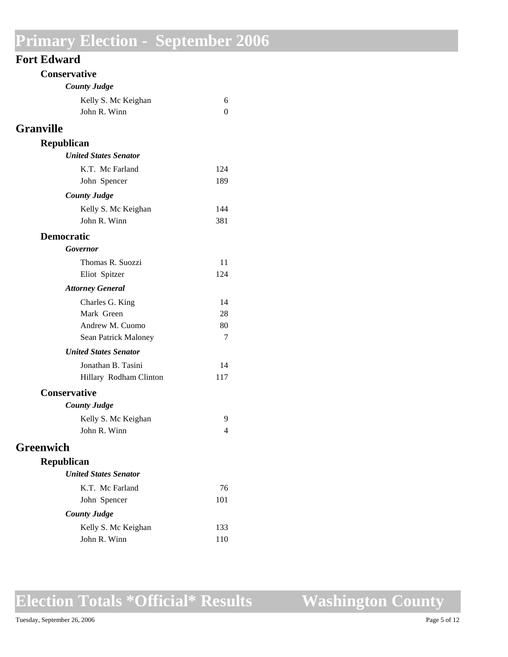| <b>Fort Edward</b> |  |
|--------------------|--|
|--------------------|--|

|                  | <b>Conservative</b>          |          |
|------------------|------------------------------|----------|
|                  | <b>County Judge</b>          |          |
|                  | Kelly S. Mc Keighan          | 6        |
|                  | John R. Winn                 | $\theta$ |
| <b>Granville</b> |                              |          |
|                  | <b>Republican</b>            |          |
|                  | <b>United States Senator</b> |          |
|                  | K.T. Mc Farland              | 124      |
|                  | John Spencer                 | 189      |
|                  | <b>County Judge</b>          |          |
|                  | Kelly S. Mc Keighan          | 144      |
|                  | John R. Winn                 | 381      |
|                  | <b>Democratic</b>            |          |
|                  | Governor                     |          |
|                  | Thomas R. Suozzi             | 11       |
|                  | Eliot Spitzer                | 124      |
|                  | <b>Attorney General</b>      |          |
|                  | Charles G. King              | 14       |
|                  | Mark Green                   | 28       |
|                  | Andrew M. Cuomo              | 80       |
|                  | Sean Patrick Maloney         | 7        |
|                  | <b>United States Senator</b> |          |
|                  | Jonathan B. Tasini           | 14       |
|                  | Hillary Rodham Clinton       | 117      |
|                  | <b>Conservative</b>          |          |
|                  | <b>County Judge</b>          |          |
|                  | Kelly S. Mc Keighan          | 9        |
|                  | John R. Winn                 | 4        |
| Greenwich        |                              |          |
|                  | <b>Republican</b>            |          |
|                  | <b>United States Senator</b> |          |
|                  | K.T. Mc Farland              | 76       |
|                  | John Spencer                 | 101      |
|                  | <b>County Judge</b>          |          |
|                  | Kelly S. Mc Keighan          | 133      |
|                  | John R. Winn                 | 110      |
|                  |                              |          |

# **Election Totals \*Official\* Results**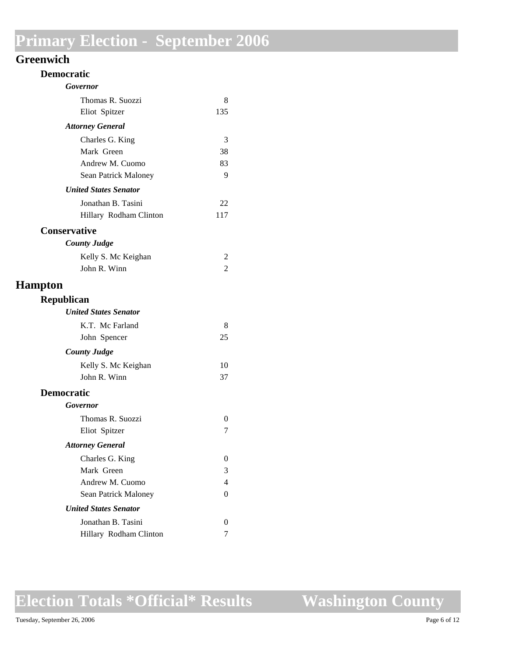#### **Greenwich**

| <b>Democratic</b>            |          |
|------------------------------|----------|
| Governor                     |          |
| Thomas R. Suozzi             | 8        |
| Eliot Spitzer                | 135      |
| <b>Attorney General</b>      |          |
| Charles G. King              | 3        |
| Mark Green                   | 38       |
| Andrew M. Cuomo              | 83       |
| Sean Patrick Maloney         | 9        |
| <b>United States Senator</b> |          |
| Jonathan B. Tasini           | 22       |
| Hillary Rodham Clinton       | 117      |
| <b>Conservative</b>          |          |
| <b>County Judge</b>          |          |
| Kelly S. Mc Keighan          | 2        |
| John R. Winn                 | 2        |
| <b>Hampton</b>               |          |
| Republican                   |          |
| <b>United States Senator</b> |          |
| K.T. Mc Farland              | 8        |
| John Spencer                 | 25       |
| <b>County Judge</b>          |          |
| Kelly S. Mc Keighan          | 10       |
| John R. Winn                 | 37       |
| <b>Democratic</b>            |          |
| <b>Governor</b>              |          |
| Thomas R. Suozzi             | $\Omega$ |
| Eliot Spitzer                | 7        |
| <b>Attorney General</b>      |          |
| Charles G. King              | $\Omega$ |
| Mark Green                   | 3        |
| Andrew M. Cuomo              | 4        |
| Sean Patrick Maloney         | 0        |
| <b>United States Senator</b> |          |
| Jonathan B. Tasini           | 0        |
| Hillary Rodham Clinton       | 7        |

## **Election Totals \*Official\* Results**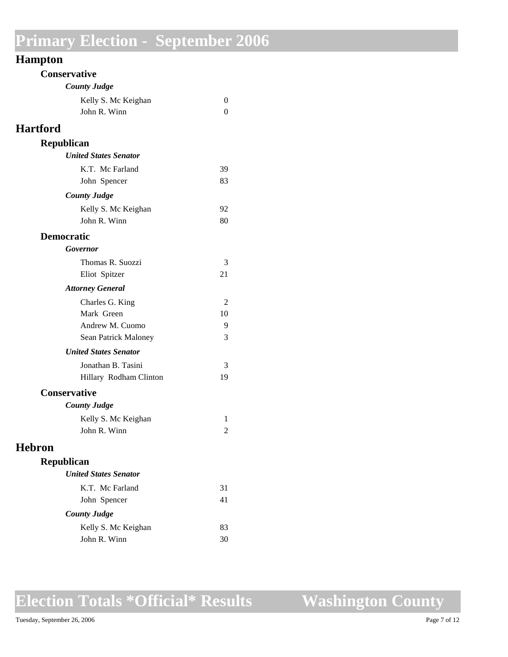### **Hampton**

| <b>Conservative</b>          |    |
|------------------------------|----|
| <b>County Judge</b>          |    |
| Kelly S. Mc Keighan          | 0  |
| John R. Winn                 | 0  |
| <b>Hartford</b>              |    |
| <b>Republican</b>            |    |
| <b>United States Senator</b> |    |
| K.T. Mc Farland              | 39 |
| John Spencer                 | 83 |
| <b>County Judge</b>          |    |
| Kelly S. Mc Keighan          | 92 |
| John R. Winn                 | 80 |
| <b>Democratic</b>            |    |
| Governor                     |    |
| Thomas R. Suozzi             | 3  |
| Eliot Spitzer                | 21 |
| <b>Attorney General</b>      |    |
| Charles G. King              | 2  |
| Mark Green                   | 10 |
| Andrew M. Cuomo              | 9  |
| Sean Patrick Maloney         | 3  |
| <b>United States Senator</b> |    |
| Jonathan B. Tasini           | 3  |
| Hillary Rodham Clinton       | 19 |
| <b>Conservative</b>          |    |
| <b>County Judge</b>          |    |
| Kelly S. Mc Keighan          | 1  |
| John R. Winn                 | 2  |
| <b>Hebron</b>                |    |
| Republican                   |    |
| <b>United States Senator</b> |    |
| K.T. Mc Farland              | 31 |
| John Spencer                 | 41 |
| <b>County Judge</b>          |    |
| Kelly S. Mc Keighan          | 83 |
| John R. Winn                 | 30 |

## **Election Totals \*Official\* Results**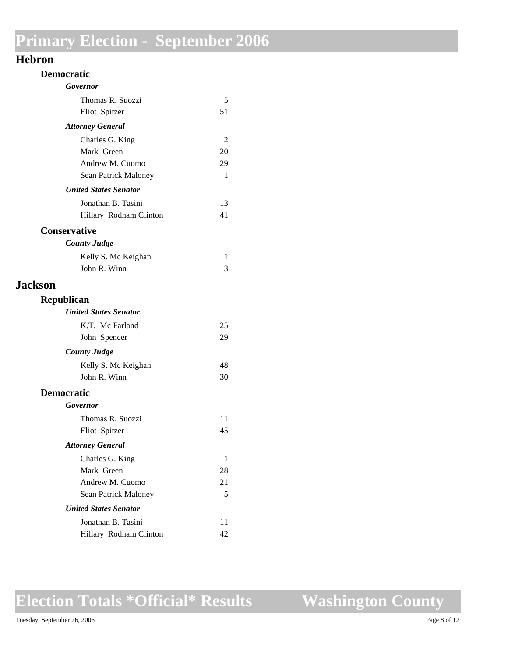#### **Hebron**

| <b>Democratic</b>            |    |
|------------------------------|----|
| Governor                     |    |
| Thomas R. Suozzi             | 5  |
| Eliot Spitzer                | 51 |
| <b>Attorney General</b>      |    |
| Charles G. King              | 2  |
| Mark Green                   | 20 |
| Andrew M. Cuomo              | 29 |
| Sean Patrick Maloney         | 1  |
| <b>United States Senator</b> |    |
| Jonathan B. Tasini           | 13 |
| Hillary Rodham Clinton       | 41 |
| <b>Conservative</b>          |    |
| <b>County Judge</b>          |    |
| Kelly S. Mc Keighan          | 1  |
| John R. Winn                 | 3  |
| <b>Jackson</b>               |    |
| <b>Republican</b>            |    |
| <b>United States Senator</b> |    |
| K.T. Mc Farland              | 25 |
| John Spencer                 | 29 |
| <b>County Judge</b>          |    |
| Kelly S. Mc Keighan          | 48 |
| John R. Winn                 | 30 |
| <b>Democratic</b>            |    |
| Governor                     |    |
| Thomas R. Suozzi             | 11 |
| Eliot Spitzer                | 45 |
| <b>Attorney General</b>      |    |
| Charles G. King              | 1  |
| Mark Green                   | 28 |
| Andrew M. Cuomo              | 21 |
| Sean Patrick Maloney         | 5  |
| <b>United States Senator</b> |    |
| Jonathan B. Tasini           | 11 |
| Hillary Rodham Clinton       | 42 |

## **Election Totals \*Official\* Results**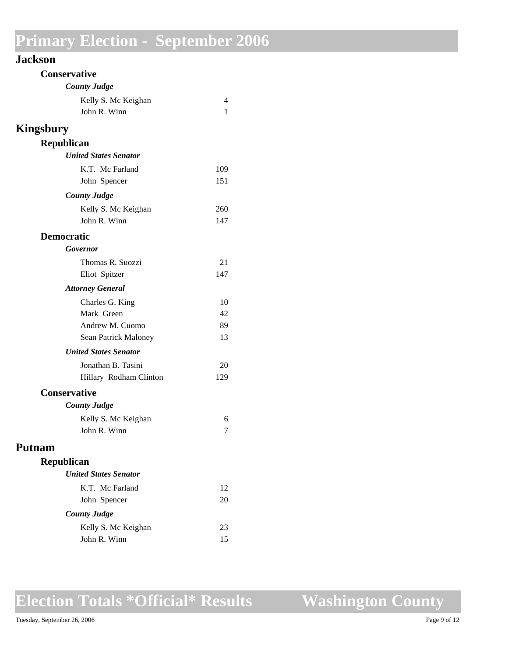|  | Jackson |  |
|--|---------|--|
|  |         |  |

| <b>Conservative</b>          |     |
|------------------------------|-----|
| <b>County Judge</b>          |     |
| Kelly S. Mc Keighan          | 4   |
| John R. Winn                 | 1   |
| <b>Kingsbury</b>             |     |
| <b>Republican</b>            |     |
| <b>United States Senator</b> |     |
| K.T. Mc Farland              | 109 |
| John Spencer                 | 151 |
| <b>County Judge</b>          |     |
| Kelly S. Mc Keighan          | 260 |
| John R. Winn                 | 147 |
| <b>Democratic</b>            |     |
| Governor                     |     |
| Thomas R. Suozzi             | 21  |
| Eliot Spitzer                | 147 |
| <b>Attorney General</b>      |     |
| Charles G. King              | 10  |
| Mark Green                   | 42  |
| Andrew M. Cuomo              | 89  |
| Sean Patrick Maloney         | 13  |
| <b>United States Senator</b> |     |
| Jonathan B. Tasini           | 20  |
| Hillary Rodham Clinton       | 129 |
| <b>Conservative</b>          |     |
| <b>County Judge</b>          |     |
| Kelly S. Mc Keighan          | 6   |
| John R. Winn                 | 7   |
| <b>Putnam</b>                |     |
| Republican                   |     |
| <b>United States Senator</b> |     |
| K.T. Mc Farland              | 12  |
| John Spencer                 | 20  |
| <b>County Judge</b>          |     |
| Kelly S. Mc Keighan          | 23  |
| John R. Winn                 | 15  |
|                              |     |

## **Election Totals \*Official\* Results**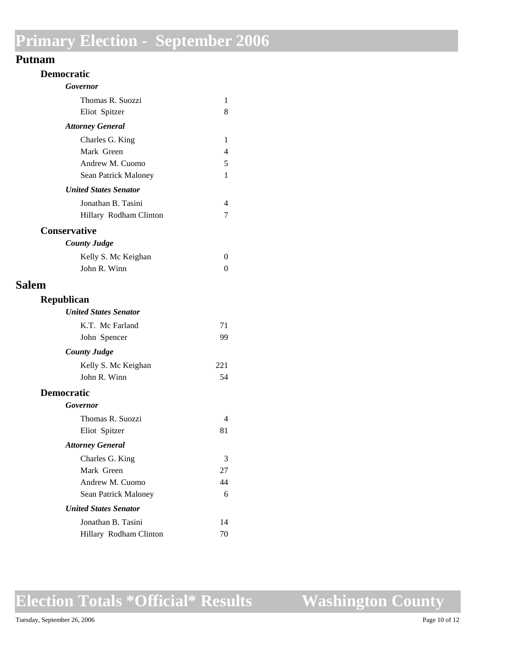#### **Putnam**

| <b>Democratic</b>            |     |
|------------------------------|-----|
| Governor                     |     |
| Thomas R. Suozzi             | 1   |
| Eliot Spitzer                | 8   |
| <b>Attorney General</b>      |     |
| Charles G. King              | 1   |
| Mark Green                   | 4   |
| Andrew M. Cuomo              | 5   |
| Sean Patrick Maloney         | 1   |
| <b>United States Senator</b> |     |
| Jonathan B. Tasini           | 4   |
| Hillary Rodham Clinton       | 7   |
| <b>Conservative</b>          |     |
| <b>County Judge</b>          |     |
| Kelly S. Mc Keighan          | 0   |
| John R. Winn                 | 0   |
| <b>Salem</b>                 |     |
| <b>Republican</b>            |     |
| <b>United States Senator</b> |     |
| K.T. Mc Farland              | 71  |
| John Spencer                 | 99  |
| <b>County Judge</b>          |     |
| Kelly S. Mc Keighan          | 221 |
| John R. Winn                 | 54  |
| <b>Democratic</b>            |     |
| Governor                     |     |
| Thomas R. Suozzi             | 4   |
| Eliot Spitzer                | 81  |
| <b>Attorney General</b>      |     |
| Charles G. King              | 3   |
| Mark Green                   | 27  |
| Andrew M. Cuomo              | 44  |
| Sean Patrick Maloney         | 6   |
| <b>United States Senator</b> |     |
| Jonathan B. Tasini           | 14  |
| Hillary Rodham Clinton       | 70  |
|                              |     |

**Election Totals \*Official\* Results**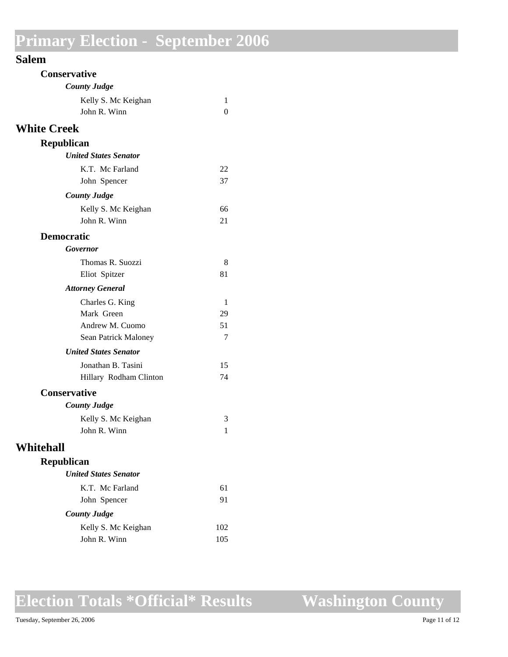| <b>Conservative</b>          |     |
|------------------------------|-----|
| <b>County Judge</b>          |     |
| Kelly S. Mc Keighan          | 1   |
| John R. Winn                 | 0   |
| <b>White Creek</b>           |     |
| Republican                   |     |
| <b>United States Senator</b> |     |
| K.T. Mc Farland              | 22  |
| John Spencer                 | 37  |
| <b>County Judge</b>          |     |
| Kelly S. Mc Keighan          | 66  |
| John R. Winn                 | 21  |
| <b>Democratic</b>            |     |
| Governor                     |     |
| Thomas R. Suozzi             | 8   |
| Eliot Spitzer                | 81  |
| <b>Attorney General</b>      |     |
| Charles G. King              | 1   |
| Mark Green                   | 29  |
| Andrew M. Cuomo              | 51  |
| Sean Patrick Maloney         | 7   |
| <b>United States Senator</b> |     |
| Jonathan B. Tasini           | 15  |
| Hillary Rodham Clinton       | 74  |
| <b>Conservative</b>          |     |
| <b>County Judge</b>          |     |
| Kelly S. Mc Keighan          | 3   |
| John R. Winn                 | 1   |
| Whitehall                    |     |
| <b>Republican</b>            |     |
| <b>United States Senator</b> |     |
| K.T. Mc Farland              | 61  |
| John Spencer                 | 91  |
| <b>County Judge</b>          |     |
| Kelly S. Mc Keighan          | 102 |
| John R. Winn                 | 105 |
|                              |     |

## **Election Totals \*Official\* Results**